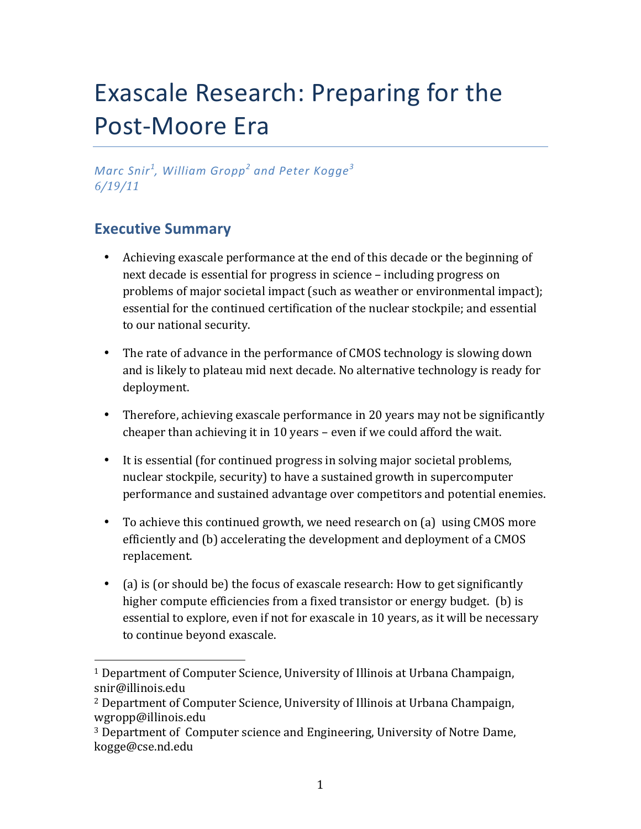# Exascale Research: Preparing for the Post-Moore Era

*Marc%Snir<sup>1</sup> , William%Gropp<sup>2</sup> and%Peter%Kogge<sup>3</sup> 6/19/11*

# **Executive Summary**

!!!!!!!!!!!!!!!!!!!!!!!!!!!!!!!!!!!!!!!!!!!!!!!!!!!!!!!

- Achieving exascale performance at the end of this decade or the beginning of next decade is essential for progress in science – including progress on problems of major societal impact (such as weather or environmental impact); essential for the continued certification of the nuclear stockpile; and essential to our national security.
- The rate of advance in the performance of CMOS technology is slowing down and is likely to plateau mid next decade. No alternative technology is ready for deployment.
- Therefore, achieving exascale performance in 20 years may not be significantly cheaper than achieving it in 10 years – even if we could afford the wait.
- It is essential (for continued progress in solving major societal problems, nuclear stockpile, security) to have a sustained growth in supercomputer performance and sustained advantage over competitors and potential enemies.
- To achieve this continued growth, we need research on (a) using CMOS more efficiently and (b) accelerating the development and deployment of a CMOS replacement.
- (a) is (or should be) the focus of exascale research: How to get significantly higher compute efficiencies from a fixed transistor or energy budget. (b) is essential to explore, even if not for exascale in 10 years, as it will be necessary to continue beyond exascale.

<sup>&</sup>lt;sup>1</sup> Department of Computer Science, University of Illinois at Urbana Champaign, snir@illinois.edu

<sup>&</sup>lt;sup>2</sup> Department of Computer Science, University of Illinois at Urbana Champaign, wgropp@illinois.edu

<sup>&</sup>lt;sup>3</sup> Department of Computer science and Engineering, University of Notre Dame, kogge@cse.nd.edu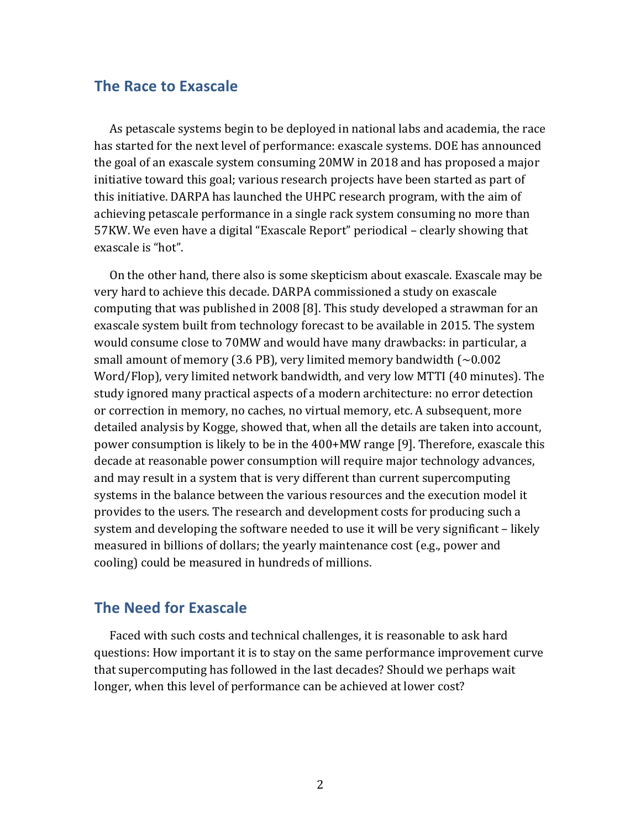#### **The Race to Exascale**

As petascale systems begin to be deployed in national labs and academia, the race has started for the next level of performance: exascale systems. DOE has announced the goal of an exascale system consuming 20MW in 2018 and has proposed a major initiative toward this goal; various research projects have been started as part of this initiative. DARPA has launched the UHPC research program, with the aim of achieving petascale performance in a single rack system consuming no more than 57KW. We even have a digital "Exascale Report" periodical – clearly showing that exascale is "hot".

On the other hand, there also is some skepticism about exascale. Exascale may be very hard to achieve this decade. DARPA commissioned a study on exascale computing that was published in 2008 [8]. This study developed a strawman for an exascale system built from technology forecast to be available in 2015. The system would consume close to 70MW and would have many drawbacks: in particular, a small amount of memory (3.6 PB), very limited memory bandwidth ( $\sim$ 0.002 Word/Flop), very limited network bandwidth, and very low MTTI (40 minutes). The study ignored many practical aspects of a modern architecture: no error detection or correction in memory, no caches, no virtual memory, etc. A subsequent, more detailed analysis by Kogge, showed that, when all the details are taken into account, power consumption is likely to be in the 400+MW range [9]. Therefore, exascale this decade at reasonable power consumption will require major technology advances, and may result in a system that is very different than current supercomputing systems in the balance between the various resources and the execution model it provides to the users. The research and development costs for producing such a system and developing the software needed to use it will be very significant – likely measured in billions of dollars; the yearly maintenance cost (e.g., power and cooling) could be measured in hundreds of millions.

### **The Need for Exascale**

Faced with such costs and technical challenges, it is reasonable to ask hard questions: How important it is to stay on the same performance improvement curve that supercomputing has followed in the last decades? Should we perhaps wait longer, when this level of performance can be achieved at lower cost?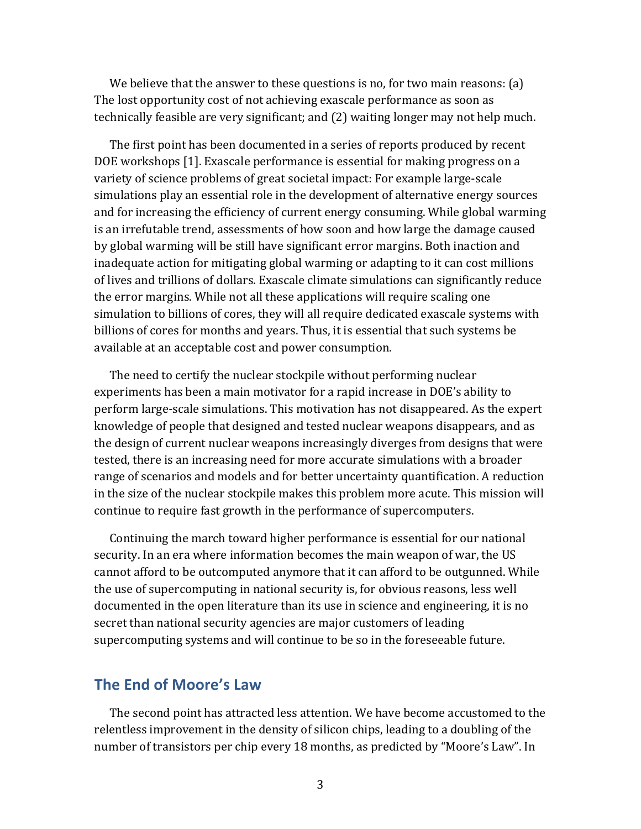We believe that the answer to these questions is no, for two main reasons:  $(a)$ The lost opportunity cost of not achieving exascale performance as soon as technically feasible are very significant; and (2) waiting longer may not help much.

The first point has been documented in a series of reports produced by recent DOE workshops [1]. Exascale performance is essential for making progress on a variety of science problems of great societal impact: For example large-scale simulations play an essential role in the development of alternative energy sources and for increasing the efficiency of current energy consuming. While global warming is an irrefutable trend, assessments of how soon and how large the damage caused by global warming will be still have significant error margins. Both inaction and inadequate action for mitigating global warming or adapting to it can cost millions of lives and trillions of dollars. Exascale climate simulations can significantly reduce the error margins. While not all these applications will require scaling one simulation to billions of cores, they will all require dedicated exascale systems with billions of cores for months and years. Thus, it is essential that such systems be available at an acceptable cost and power consumption.

The need to certify the nuclear stockpile without performing nuclear experiments has been a main motivator for a rapid increase in DOE's ability to perform large-scale simulations. This motivation has not disappeared. As the expert knowledge of people that designed and tested nuclear weapons disappears, and as the design of current nuclear weapons increasingly diverges from designs that were tested, there is an increasing need for more accurate simulations with a broader range of scenarios and models and for better uncertainty quantification. A reduction in the size of the nuclear stockpile makes this problem more acute. This mission will continue to require fast growth in the performance of supercomputers.

Continuing the march toward higher performance is essential for our national security. In an era where information becomes the main weapon of war, the US cannot afford to be outcomputed anymore that it can afford to be outgunned. While the use of supercomputing in national security is, for obvious reasons, less well documented in the open literature than its use in science and engineering, it is no secret than national security agencies are major customers of leading supercomputing systems and will continue to be so in the foreseeable future.

### **The)End)of)Moore's)Law**

The second point has attracted less attention. We have become accustomed to the relentless improvement in the density of silicon chips, leading to a doubling of the number of transistors per chip every 18 months, as predicted by "Moore's Law". In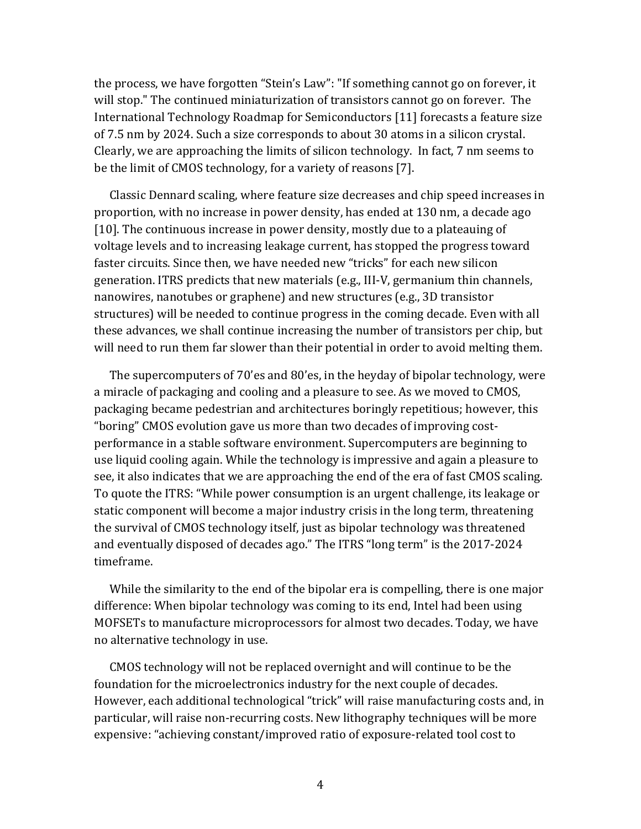the process, we have forgotten "Stein's Law": "If something cannot go on forever, it will stop." The continued miniaturization of transistors cannot go on forever. The International Technology Roadmap for Semiconductors [11] forecasts a feature size of 7.5 nm by 2024. Such a size corresponds to about 30 atoms in a silicon crystal. Clearly, we are approaching the limits of silicon technology. In fact, 7 nm seems to be the limit of CMOS technology, for a variety of reasons [7].

Classic Dennard scaling, where feature size decreases and chip speed increases in proportion, with no increase in power density, has ended at 130 nm, a decade ago [10]. The continuous increase in power density, mostly due to a plateauing of voltage levels and to increasing leakage current, has stopped the progress toward faster circuits. Since then, we have needed new "tricks" for each new silicon generation. ITRS predicts that new materials (e.g., III-V, germanium thin channels, nanowires, nanotubes or graphene) and new structures (e.g., 3D transistor structures) will be needed to continue progress in the coming decade. Even with all these advances, we shall continue increasing the number of transistors per chip, but will need to run them far slower than their potential in order to avoid melting them.

The supercomputers of 70'es and 80'es, in the heyday of bipolar technology, were a miracle of packaging and cooling and a pleasure to see. As we moved to CMOS, packaging became pedestrian and architectures boringly repetitious; however, this "boring" CMOS evolution gave us more than two decades of improving costperformance in a stable software environment. Supercomputers are beginning to use liquid cooling again. While the technology is impressive and again a pleasure to see, it also indicates that we are approaching the end of the era of fast CMOS scaling. To quote the ITRS: "While power consumption is an urgent challenge, its leakage or static component will become a major industry crisis in the long term, threatening the survival of CMOS technology itself, just as bipolar technology was threatened and eventually disposed of decades ago." The ITRS "long term" is the 2017-2024 timeframe.!

While the similarity to the end of the bipolar era is compelling, there is one major difference: When bipolar technology was coming to its end, Intel had been using MOFSETs to manufacture microprocessors for almost two decades. Today, we have no alternative technology in use.

CMOS technology will not be replaced overnight and will continue to be the foundation for the microelectronics industry for the next couple of decades. However, each additional technological "trick" will raise manufacturing costs and, in particular, will raise non-recurring costs. New lithography techniques will be more expensive: "achieving constant/improved ratio of exposure-related tool cost to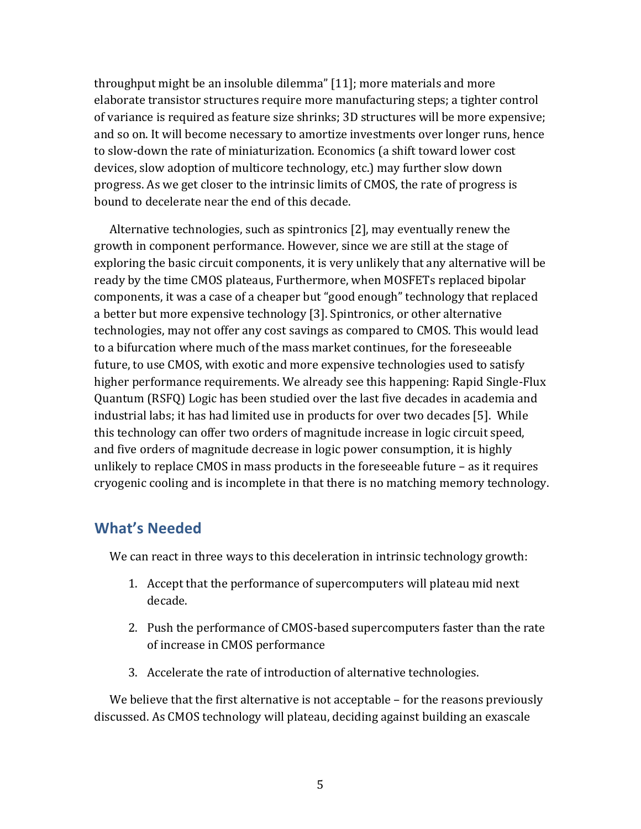throughput might be an insoluble dilemma" [11]; more materials and more elaborate transistor structures require more manufacturing steps; a tighter control of variance is required as feature size shrinks; 3D structures will be more expensive; and so on. It will become necessary to amortize investments over longer runs, hence to slow-down the rate of miniaturization. Economics (a shift toward lower cost devices, slow adoption of multicore technology, etc.) may further slow down progress. As we get closer to the intrinsic limits of CMOS, the rate of progress is bound to decelerate near the end of this decade.

Alternative technologies, such as spintronics  $[2]$ , may eventually renew the growth in component performance. However, since we are still at the stage of exploring the basic circuit components, it is very unlikely that any alternative will be ready by the time CMOS plateaus, Furthermore, when MOSFETs replaced bipolar components, it was a case of a cheaper but "good enough" technology that replaced a better but more expensive technology [3]. Spintronics, or other alternative technologies, may not offer any cost savings as compared to CMOS. This would lead to a bifurcation where much of the mass market continues, for the foreseeable future, to use CMOS, with exotic and more expensive technologies used to satisfy higher performance requirements. We already see this happening: Rapid Single-Flux Quantum (RSFQ) Logic has been studied over the last five decades in academia and industrial labs; it has had limited use in products for over two decades [5]. While this technology can offer two orders of magnitude increase in logic circuit speed, and five orders of magnitude decrease in logic power consumption, it is highly unlikely to replace CMOS in mass products in the foreseeable future – as it requires cryogenic cooling and is incomplete in that there is no matching memory technology.

## **What's Needed**

We can react in three ways to this deceleration in intrinsic technology growth:

- 1. Accept that the performance of supercomputers will plateau mid next decade.
- 2. Push the performance of CMOS-based supercomputers faster than the rate of increase in CMOS performance
- 3. Accelerate the rate of introduction of alternative technologies.

We believe that the first alternative is not acceptable – for the reasons previously discussed. As CMOS technology will plateau, deciding against building an exascale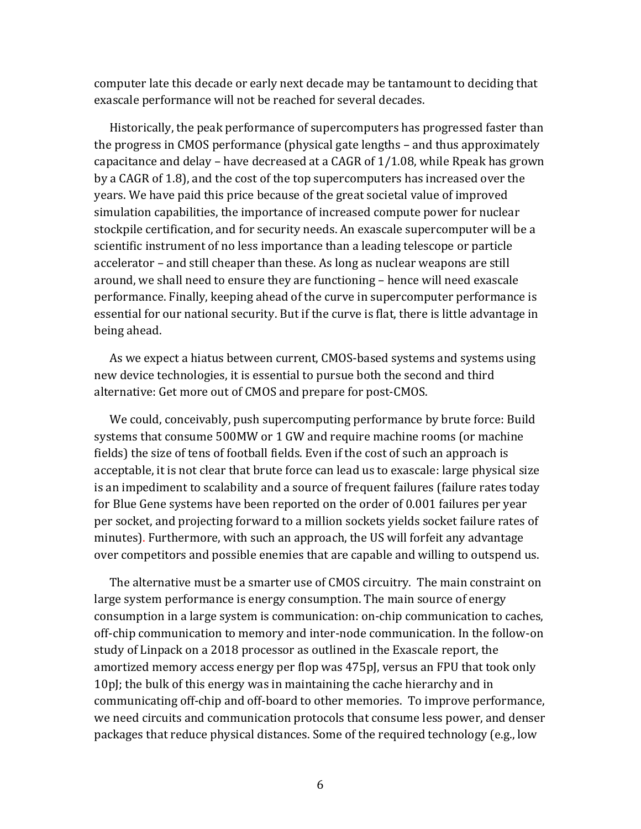computer late this decade or early next decade may be tantamount to deciding that exascale performance will not be reached for several decades.

Historically, the peak performance of supercomputers has progressed faster than the progress in CMOS performance (physical gate lengths – and thus approximately capacitance and delay – have decreased at a CAGR of  $1/1.08$ , while Rpeak has grown by a CAGR of 1.8), and the cost of the top supercomputers has increased over the years. We have paid this price because of the great societal value of improved simulation capabilities, the importance of increased compute power for nuclear stockpile certification, and for security needs. An exascale supercomputer will be a scientific instrument of no less importance than a leading telescope or particle accelerator – and still cheaper than these. As long as nuclear weapons are still around, we shall need to ensure they are functioning – hence will need exascale performance. Finally, keeping ahead of the curve in supercomputer performance is essential for our national security. But if the curve is flat, there is little advantage in being ahead.

As we expect a hiatus between current, CMOS-based systems and systems using new device technologies, it is essential to pursue both the second and third alternative: Get more out of CMOS and prepare for post-CMOS.

We could, conceivably, push supercomputing performance by brute force: Build systems that consume 500MW or 1 GW and require machine rooms (or machine fields) the size of tens of football fields. Even if the cost of such an approach is acceptable, it is not clear that brute force can lead us to exascale: large physical size is an impediment to scalability and a source of frequent failures (failure rates today for Blue Gene systems have been reported on the order of 0.001 failures per year per socket, and projecting forward to a million sockets yields socket failure rates of minutes). Furthermore, with such an approach, the US will forfeit any advantage over competitors and possible enemies that are capable and willing to outspend us.

The alternative must be a smarter use of CMOS circuitry. The main constraint on large system performance is energy consumption. The main source of energy consumption in a large system is communication: on-chip communication to caches, off-chip communication to memory and inter-node communication. In the follow-on study of Linpack on a 2018 processor as outlined in the Exascale report, the amortized memory access energy per flop was 475pJ, versus an FPU that took only 10pJ; the bulk of this energy was in maintaining the cache hierarchy and in communicating off-chip and off-board to other memories. To improve performance, we need circuits and communication protocols that consume less power, and denser packages that reduce physical distances. Some of the required technology (e.g., low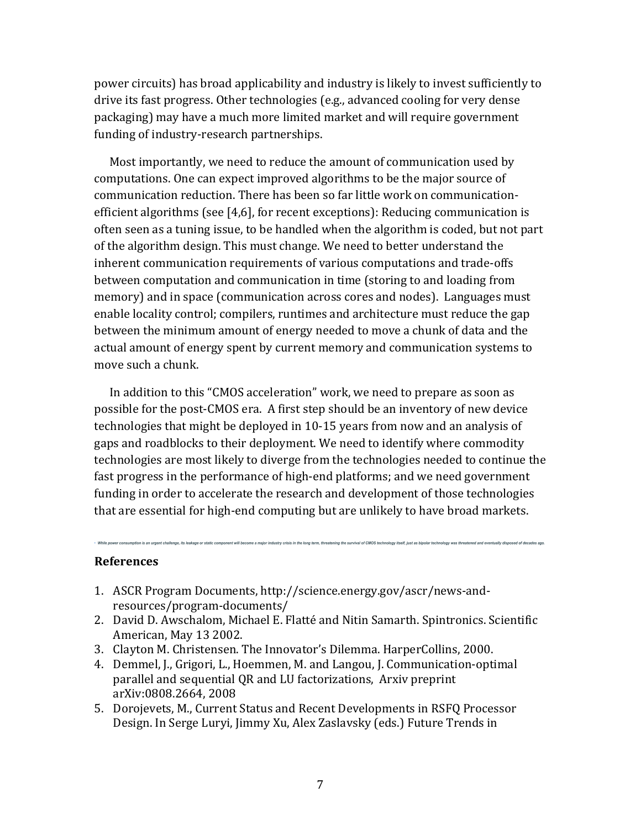power circuits) has broad applicability and industry is likely to invest sufficiently to drive its fast progress. Other technologies (e.g., advanced cooling for very dense packaging) may have a much more limited market and will require government funding of industry-research partnerships.

Most importantly, we need to reduce the amount of communication used by computations. One can expect improved algorithms to be the major source of communication reduction. There has been so far little work on communicationefficient algorithms (see [4,6], for recent exceptions): Reducing communication is often seen as a tuning issue, to be handled when the algorithm is coded, but not part of the algorithm design. This must change. We need to better understand the inherent communication requirements of various computations and trade-offs between computation and communication in time (storing to and loading from memory) and in space (communication across cores and nodes). Languages must enable locality control; compilers, runtimes and architecture must reduce the gap between the minimum amount of energy needed to move a chunk of data and the actual amount of energy spent by current memory and communication systems to move such a chunk.

In addition to this "CMOS acceleration" work, we need to prepare as soon as possible for the post-CMOS era. A first step should be an inventory of new device technologies that might be deployed in 10-15 years from now and an analysis of gaps and roadblocks to their deployment. We need to identify where commodity technologies are most likely to diverge from the technologies needed to continue the fast progress in the performance of high-end platforms; and we need government funding in order to accelerate the research and development of those technologies that are essential for high-end computing but are unlikely to have broad markets.

static component will become a major industry crisis in the long term, threatening the survival of CMOS technology itself, just as bipolar technology was threatened and eventually disposed of decades ago

#### **References**

- 1. ASCR Program Documents, http://science.energy.gov/ascr/news-andresources/program-documents/
- 2. David D. Awschalom, Michael E. Flatté and Nitin Samarth. Spintronics. Scientific American, May 13 2002.
- 3. Clayton M. Christensen. The Innovator's Dilemma. HarperCollins, 2000.
- 4. Demmel, J., Grigori, L., Hoemmen, M. and Langou, J. Communication-optimal parallel and sequential QR and LU factorizations, Arxiv preprint arXiv:0808.2664, 2008
- 5. Dorojevets, M., Current Status and Recent Developments in RSFQ Processor Design. In Serge Luryi, Jimmy Xu, Alex Zaslavsky (eds.) Future Trends in